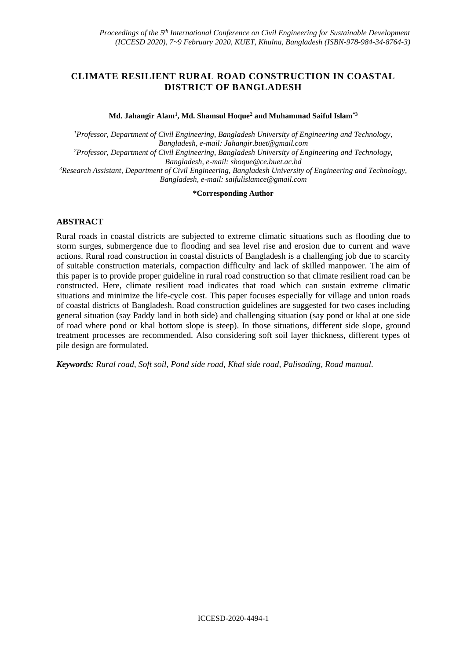# **CLIMATE RESILIENT RURAL ROAD CONSTRUCTION IN COASTAL DISTRICT OF BANGLADESH**

**Md. Jahangir Alam<sup>1</sup> , Md. Shamsul Hoque<sup>2</sup> and Muhammad Saiful Islam\*3**

*<sup>1</sup>Professor, Department of Civil Engineering, Bangladesh University of Engineering and Technology, Bangladesh, e-mail: [Jahangir.buet@gmail.com](mailto:Jahangir.buet@gmail.com) <sup>2</sup>Professor, Department of Civil Engineering, Bangladesh University of Engineering and Technology, Bangladesh, e-mail: shoque@ce.buet.ac.bd <sup>3</sup>Research Assistant, Department of Civil Engineering, Bangladesh University of Engineering and Technology, Bangladesh, e-mail[: saifulislamce@gmail.com](mailto:saifulislamce@gmail.com)*

#### **\*Corresponding Author**

# **ABSTRACT**

Rural roads in coastal districts are subjected to extreme climatic situations such as flooding due to storm surges, submergence due to flooding and sea level rise and erosion due to current and wave actions. Rural road construction in coastal districts of Bangladesh is a challenging job due to scarcity of suitable construction materials, compaction difficulty and lack of skilled manpower. The aim of this paper is to provide proper guideline in rural road construction so that climate resilient road can be constructed. Here, climate resilient road indicates that road which can sustain extreme climatic situations and minimize the life-cycle cost. This paper focuses especially for village and union roads of coastal districts of Bangladesh. Road construction guidelines are suggested for two cases including general situation (say Paddy land in both side) and challenging situation (say pond or khal at one side of road where pond or khal bottom slope is steep). In those situations, different side slope, ground treatment processes are recommended. Also considering soft soil layer thickness, different types of pile design are formulated.

*Keywords: Rural road, Soft soil, Pond side road, Khal side road, Palisading, Road manual.*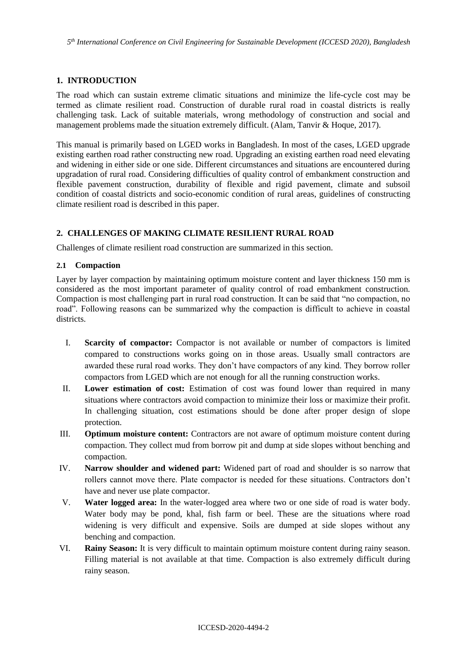## **1. INTRODUCTION**

The road which can sustain extreme climatic situations and minimize the life-cycle cost may be termed as climate resilient road. Construction of durable rural road in coastal districts is really challenging task. Lack of suitable materials, wrong methodology of construction and social and management problems made the situation extremely difficult. (Alam, Tanvir & Hoque, 2017).

This manual is primarily based on LGED works in Bangladesh. In most of the cases, LGED upgrade existing earthen road rather constructing new road. Upgrading an existing earthen road need elevating and widening in either side or one side. Different circumstances and situations are encountered during upgradation of rural road. Considering difficulties of quality control of embankment construction and flexible pavement construction, durability of flexible and rigid pavement, climate and subsoil condition of coastal districts and socio-economic condition of rural areas, guidelines of constructing climate resilient road is described in this paper.

# **2. CHALLENGES OF MAKING CLIMATE RESILIENT RURAL ROAD**

Challenges of climate resilient road construction are summarized in this section.

### **2.1 Compaction**

Layer by layer compaction by maintaining optimum moisture content and layer thickness 150 mm is considered as the most important parameter of quality control of road embankment construction. Compaction is most challenging part in rural road construction. It can be said that "no compaction, no road". Following reasons can be summarized why the compaction is difficult to achieve in coastal districts.

- I. **Scarcity of compactor:** Compactor is not available or number of compactors is limited compared to constructions works going on in those areas. Usually small contractors are awarded these rural road works. They don't have compactors of any kind. They borrow roller compactors from LGED which are not enough for all the running construction works.
- II. **Lower estimation of cost:** Estimation of cost was found lower than required in many situations where contractors avoid compaction to minimize their loss or maximize their profit. In challenging situation, cost estimations should be done after proper design of slope protection.
- III. **Optimum moisture content:** Contractors are not aware of optimum moisture content during compaction. They collect mud from borrow pit and dump at side slopes without benching and compaction.
- IV. **Narrow shoulder and widened part:** Widened part of road and shoulder is so narrow that rollers cannot move there. Plate compactor is needed for these situations. Contractors don't have and never use plate compactor.
- V. **Water logged area:** In the water-logged area where two or one side of road is water body. Water body may be pond, khal, fish farm or beel. These are the situations where road widening is very difficult and expensive. Soils are dumped at side slopes without any benching and compaction.
- VI. **Rainy Season:** It is very difficult to maintain optimum moisture content during rainy season. Filling material is not available at that time. Compaction is also extremely difficult during rainy season.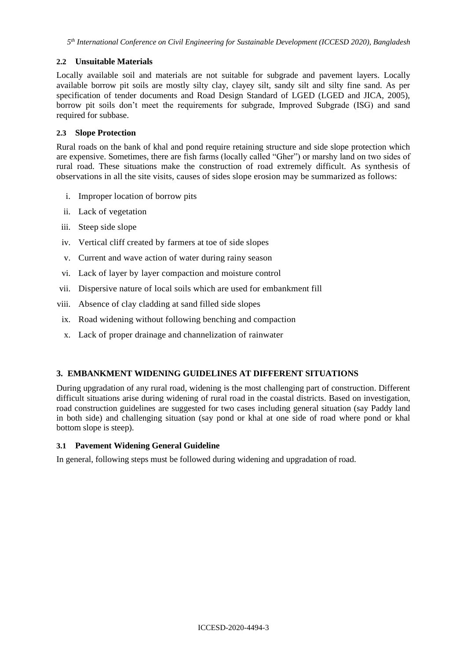# **2.2 Unsuitable Materials**

Locally available soil and materials are not suitable for subgrade and pavement layers. Locally available borrow pit soils are mostly silty clay, clayey silt, sandy silt and silty fine sand. As per specification of tender documents and Road Design Standard of LGED (LGED and JICA, 2005), borrow pit soils don't meet the requirements for subgrade, Improved Subgrade (ISG) and sand required for subbase.

## **2.3 Slope Protection**

Rural roads on the bank of khal and pond require retaining structure and side slope protection which are expensive. Sometimes, there are fish farms (locally called "Gher") or marshy land on two sides of rural road. These situations make the construction of road extremely difficult. As synthesis of observations in all the site visits, causes of sides slope erosion may be summarized as follows:

- i. Improper location of borrow pits
- ii. Lack of vegetation
- iii. Steep side slope
- iv. Vertical cliff created by farmers at toe of side slopes
- v. Current and wave action of water during rainy season
- vi. Lack of layer by layer compaction and moisture control
- vii. Dispersive nature of local soils which are used for embankment fill
- viii. Absence of clay cladding at sand filled side slopes
	- ix. Road widening without following benching and compaction
	- x. Lack of proper drainage and channelization of rainwater

### **3. EMBANKMENT WIDENING GUIDELINES AT DIFFERENT SITUATIONS**

During upgradation of any rural road, widening is the most challenging part of construction. Different difficult situations arise during widening of rural road in the coastal districts. Based on investigation, road construction guidelines are suggested for two cases including general situation (say Paddy land in both side) and challenging situation (say pond or khal at one side of road where pond or khal bottom slope is steep).

### **3.1 Pavement Widening General Guideline**

In general, following steps must be followed during widening and upgradation of road.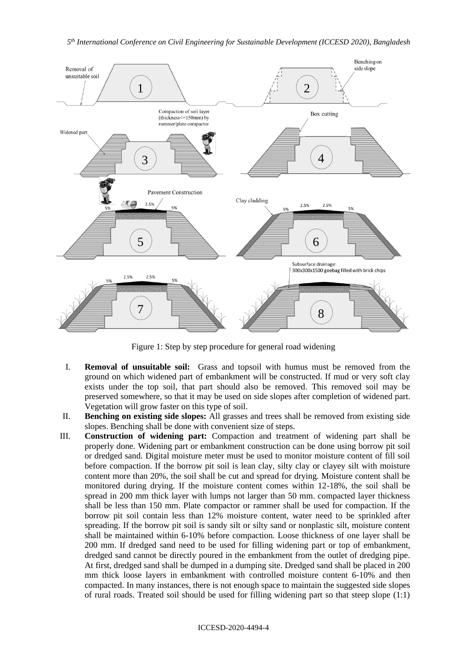

Figure 1: Step by step procedure for general road widening

- I. **Removal of unsuitable soil:** Grass and topsoil with humus must be removed from the ground on which widened part of embankment will be constructed. If mud or very soft clay exists under the top soil, that part should also be removed. This removed soil may be preserved somewhere, so that it may be used on side slopes after completion of widened part. Vegetation will grow faster on this type of soil.
- II. **Benching on existing side slopes:** All grasses and trees shall be removed from existing side slopes. Benching shall be done with convenient size of steps.
- III. **Construction of widening part:** Compaction and treatment of widening part shall be properly done. Widening part or embankment construction can be done using borrow pit soil or dredged sand. Digital moisture meter must be used to monitor moisture content of fill soil before compaction. If the borrow pit soil is lean clay, silty clay or clayey silt with moisture content more than 20%, the soil shall be cut and spread for drying. Moisture content shall be monitored during drying. If the moisture content comes within 12-18%, the soil shall be spread in 200 mm thick layer with lumps not larger than 50 mm. compacted layer thickness shall be less than 150 mm. Plate compactor or rammer shall be used for compaction. If the borrow pit soil contain less than 12% moisture content, water need to be sprinkled after spreading. If the borrow pit soil is sandy silt or silty sand or nonplastic silt, moisture content shall be maintained within 6-10% before compaction. Loose thickness of one layer shall be 200 mm. If dredged sand need to be used for filling widening part or top of embankment, dredged sand cannot be directly poured in the embankment from the outlet of dredging pipe. At first, dredged sand shall be dumped in a dumping site. Dredged sand shall be placed in 200 mm thick loose layers in embankment with controlled moisture content 6-10% and then compacted. In many instances, there is not enough space to maintain the suggested side slopes of rural roads. Treated soil should be used for filling widening part so that steep slope (1:1)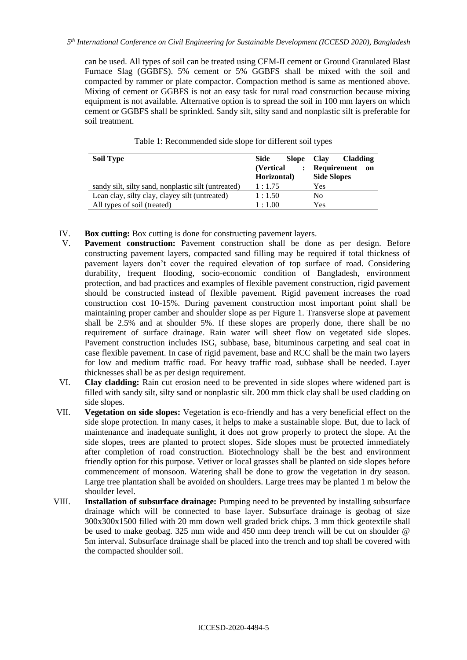can be used. All types of soil can be treated using CEM-II cement or Ground Granulated Blast Furnace Slag (GGBFS). 5% cement or 5% GGBFS shall be mixed with the soil and compacted by rammer or plate compactor. Compaction method is same as mentioned above. Mixing of cement or GGBFS is not an easy task for rural road construction because mixing equipment is not available. Alternative option is to spread the soil in 100 mm layers on which cement or GGBFS shall be sprinkled. Sandy silt, silty sand and nonplastic silt is preferable for soil treatment.

| Side<br><b>Slope</b> | <b>Cladding</b><br><b>Clay</b> |
|----------------------|--------------------------------|
| (Vertical)           | Requirement<br>on              |
| Horizontal)          | <b>Side Slopes</b>             |
| 1:1.75               | Yes                            |
| 1:1.50               | No                             |
| 1:1.00               | Yes                            |
|                      | $\ddot{\cdot}$                 |

Table 1: Recommended side slope for different soil types

- IV. **Box cutting:** Box cutting is done for constructing pavement layers.
- V. **Pavement construction:** Pavement construction shall be done as per design. Before constructing pavement layers, compacted sand filling may be required if total thickness of pavement layers don't cover the required elevation of top surface of road. Considering durability, frequent flooding, socio-economic condition of Bangladesh, environment protection, and bad practices and examples of flexible pavement construction, rigid pavement should be constructed instead of flexible pavement. Rigid pavement increases the road construction cost 10-15%. During pavement construction most important point shall be maintaining proper camber and shoulder slope as per Figure 1. Transverse slope at pavement shall be 2.5% and at shoulder 5%. If these slopes are properly done, there shall be no requirement of surface drainage. Rain water will sheet flow on vegetated side slopes. Pavement construction includes ISG, subbase, base, bituminous carpeting and seal coat in case flexible pavement. In case of rigid pavement, base and RCC shall be the main two layers for low and medium traffic road. For heavy traffic road, subbase shall be needed. Layer thicknesses shall be as per design requirement.
- VI. **Clay cladding:** Rain cut erosion need to be prevented in side slopes where widened part is filled with sandy silt, silty sand or nonplastic silt. 200 mm thick clay shall be used cladding on side slopes.
- VII. **Vegetation on side slopes:** Vegetation is eco-friendly and has a very beneficial effect on the side slope protection. In many cases, it helps to make a sustainable slope. But, due to lack of maintenance and inadequate sunlight, it does not grow properly to protect the slope. At the side slopes, trees are planted to protect slopes. Side slopes must be protected immediately after completion of road construction. Biotechnology shall be the best and environment friendly option for this purpose. Vetiver or local grasses shall be planted on side slopes before commencement of monsoon. Watering shall be done to grow the vegetation in dry season. Large tree plantation shall be avoided on shoulders. Large trees may be planted 1 m below the shoulder level.
- VIII. **Installation of subsurface drainage:** Pumping need to be prevented by installing subsurface drainage which will be connected to base layer. Subsurface drainage is geobag of size 300x300x1500 filled with 20 mm down well graded brick chips. 3 mm thick geotextile shall be used to make geobag. 325 mm wide and 450 mm deep trench will be cut on shoulder @ 5m interval. Subsurface drainage shall be placed into the trench and top shall be covered with the compacted shoulder soil.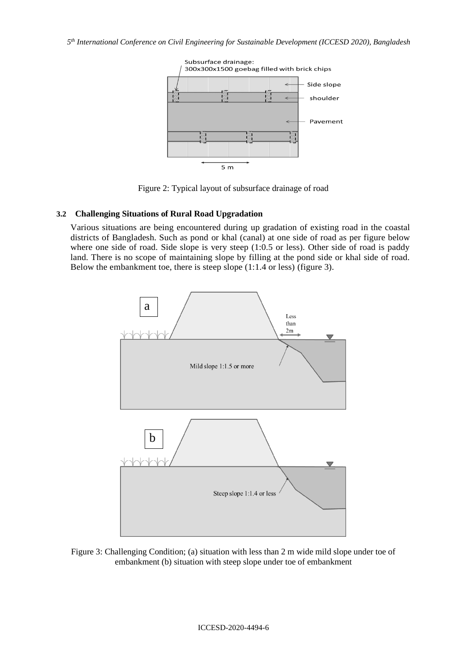*5 th International Conference on Civil Engineering for Sustainable Development (ICCESD 2020), Bangladesh*



Figure 2: Typical layout of subsurface drainage of road

# **3.2 Challenging Situations of Rural Road Upgradation**

Various situations are being encountered during up gradation of existing road in the coastal districts of Bangladesh. Such as pond or khal (canal) at one side of road as per figure below where one side of road. Side slope is very steep (1:0.5 or less). Other side of road is paddy land. There is no scope of maintaining slope by filling at the pond side or khal side of road. Below the embankment toe, there is steep slope (1:1.4 or less) (figure 3).



Figure 3: Challenging Condition; (a) situation with less than 2 m wide mild slope under toe of embankment (b) situation with steep slope under toe of embankment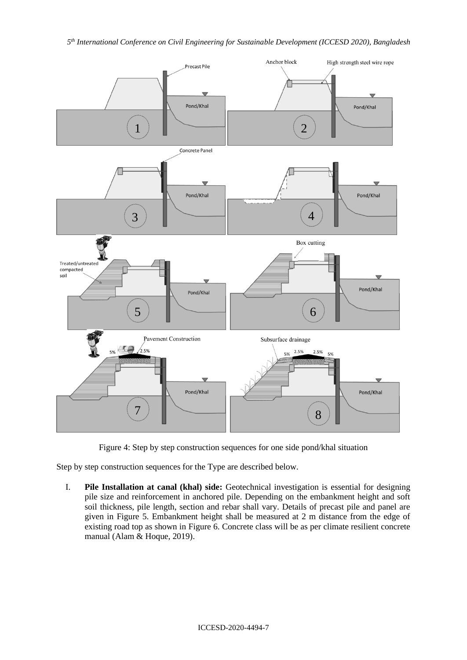

Figure 4: Step by step construction sequences for one side pond/khal situation

Step by step construction sequences for the Type are described below.

I. **Pile Installation at canal (khal) side:** Geotechnical investigation is essential for designing pile size and reinforcement in anchored pile. Depending on the embankment height and soft soil thickness, pile length, section and rebar shall vary. Details of precast pile and panel are given in Figure 5. Embankment height shall be measured at 2 m distance from the edge of existing road top as shown in Figure 6. Concrete class will be as per climate resilient concrete manual (Alam & Hoque, 2019).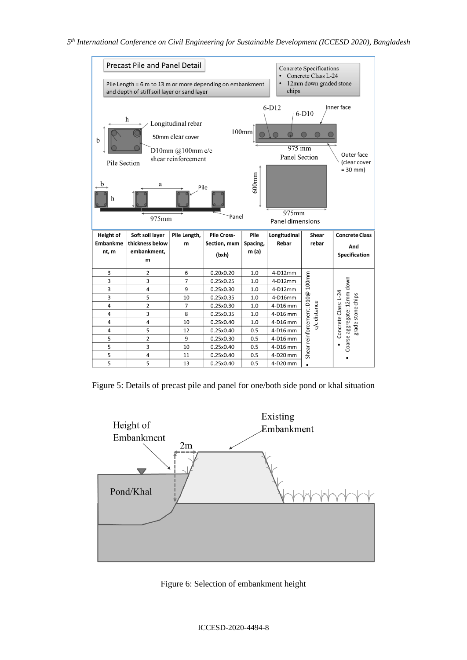*5 th International Conference on Civil Engineering for Sustainable Development (ICCESD 2020), Bangladesh*



Figure 5: Details of precast pile and panel for one/both side pond or khal situation



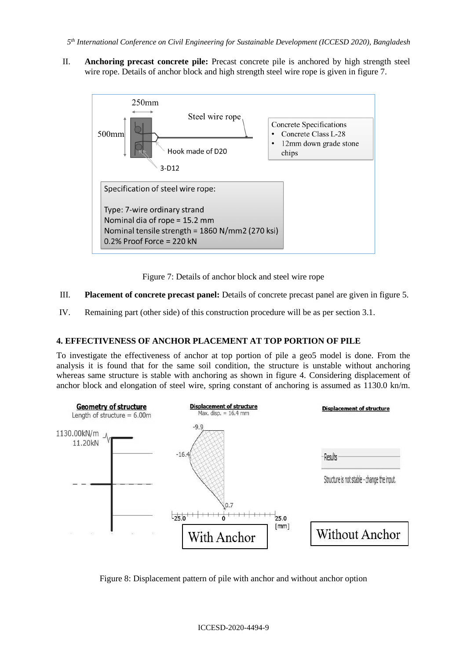II. **Anchoring precast concrete pile:** Precast concrete pile is anchored by high strength steel wire rope. Details of anchor block and high strength steel wire rope is given in figure 7.



Figure 7: Details of anchor block and steel wire rope

# III. **Placement of concrete precast panel:** Details of concrete precast panel are given in figure 5.

IV. Remaining part (other side) of this construction procedure will be as per section 3.1.

# **4. EFFECTIVENESS OF ANCHOR PLACEMENT AT TOP PORTION OF PILE**

To investigate the effectiveness of anchor at top portion of pile a geo5 model is done. From the analysis it is found that for the same soil condition, the structure is unstable without anchoring whereas same structure is stable with anchoring as shown in figure 4. Considering displacement of anchor block and elongation of steel wire, spring constant of anchoring is assumed as 1130.0 kn/m.



Figure 8: Displacement pattern of pile with anchor and without anchor option